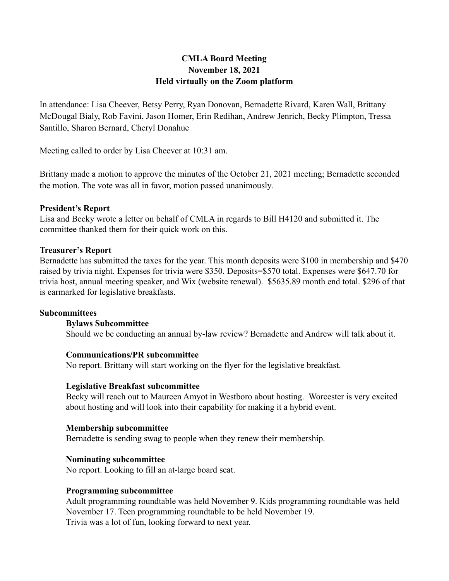# **CMLA Board Meeting November 18, 2021 Held virtually on the Zoom platform**

In attendance: Lisa Cheever, Betsy Perry, Ryan Donovan, Bernadette Rivard, Karen Wall, Brittany McDougal Bialy, Rob Favini, Jason Homer, Erin Redihan, Andrew Jenrich, Becky Plimpton, Tressa Santillo, Sharon Bernard, Cheryl Donahue

Meeting called to order by Lisa Cheever at 10:31 am.

Brittany made a motion to approve the minutes of the October 21, 2021 meeting; Bernadette seconded the motion. The vote was all in favor, motion passed unanimously.

## **President's Report**

Lisa and Becky wrote a letter on behalf of CMLA in regards to Bill H4120 and submitted it. The committee thanked them for their quick work on this.

## **Treasurer's Report**

Bernadette has submitted the taxes for the year. This month deposits were \$100 in membership and \$470 raised by trivia night. Expenses for trivia were \$350. Deposits=\$570 total. Expenses were \$647.70 for trivia host, annual meeting speaker, and Wix (website renewal). \$5635.89 month end total. \$296 of that is earmarked for legislative breakfasts.

#### **Subcommittees**

#### **Bylaws Subcommittee**

Should we be conducting an annual by-law review? Bernadette and Andrew will talk about it.

#### **Communications/PR subcommittee**

No report. Brittany will start working on the flyer for the legislative breakfast.

#### **Legislative Breakfast subcommittee**

Becky will reach out to Maureen Amyot in Westboro about hosting. Worcester is very excited about hosting and will look into their capability for making it a hybrid event.

### **Membership subcommittee**

Bernadette is sending swag to people when they renew their membership.

#### **Nominating subcommittee**

No report. Looking to fill an at-large board seat.

#### **Programming subcommittee**

Adult programming roundtable was held November 9. Kids programming roundtable was held November 17. Teen programming roundtable to be held November 19. Trivia was a lot of fun, looking forward to next year.